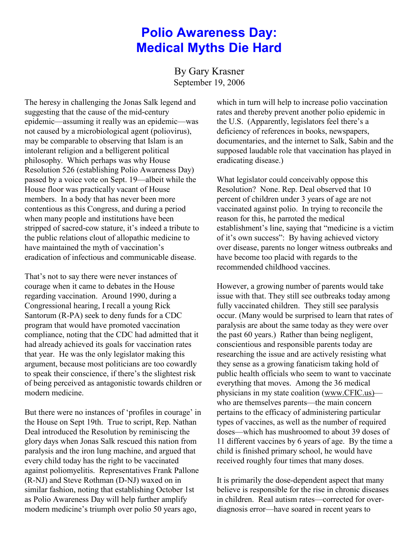## **Polio Awareness Day: Medical Myths Die Hard**

By Gary Krasner September 19, 2006

The heresy in challenging the Jonas Salk legend and suggesting that the cause of the mid-century epidemic—assuming it really was an epidemic—was not caused by a microbiological agent (poliovirus), may be comparable to observing that Islam is an intolerant religion and a belligerent political philosophy. Which perhaps was why House Resolution 526 (establishing Polio Awareness Day) passed by a voice vote on Sept. 19—albeit while the House floor was practically vacant of House members. In a body that has never been more contentious as this Congress, and during a period when many people and institutions have been stripped of sacred-cow stature, it's indeed a tribute to the public relations clout of allopathic medicine to have maintained the myth of vaccination's eradication of infectious and communicable disease.

That's not to say there were never instances of courage when it came to debates in the House regarding vaccination. Around 1990, during a Congressional hearing, I recall a young Rick Santorum (R-PA) seek to deny funds for a CDC program that would have promoted vaccination compliance, noting that the CDC had admitted that it had already achieved its goals for vaccination rates that year. He was the only legislator making this argument, because most politicians are too cowardly to speak their conscience, if there's the slightest risk of being perceived as antagonistic towards children or modern medicine.

But there were no instances of 'profiles in courage' in the House on Sept 19th. True to script, Rep. Nathan Deal introduced the Resolution by reminiscing the glory days when Jonas Salk rescued this nation from paralysis and the iron lung machine, and argued that every child today has the right to be vaccinated against poliomyelitis. Representatives Frank Pallone (R-NJ) and Steve Rothman (D-NJ) waxed on in similar fashion, noting that establishing October 1st as Polio Awareness Day will help further amplify modern medicine's triumph over polio 50 years ago,

which in turn will help to increase polio vaccination rates and thereby prevent another polio epidemic in the U.S. (Apparently, legislators feel there's a deficiency of references in books, newspapers, documentaries, and the internet to Salk, Sabin and the supposed laudable role that vaccination has played in eradicating disease.)

What legislator could conceivably oppose this Resolution? None. Rep. Deal observed that 10 percent of children under 3 years of age are not vaccinated against polio. In trying to reconcile the reason for this, he parroted the medical establishment's line, saying that "medicine is a victim of it's own success": By having achieved victory over disease, parents no longer witness outbreaks and have become too placid with regards to the recommended childhood vaccines.

However, a growing number of parents would take issue with that. They still see outbreaks today among fully vaccinated children. They still see paralysis occur. (Many would be surprised to learn that rates of paralysis are about the same today as they were over the past 60 years.) Rather than being negligent, conscientious and responsible parents today are researching the issue and are actively resisting what they sense as a growing fanaticism taking hold of public health officials who seem to want to vaccinate everything that moves. Among the 36 medical physicians in my state coalition [\(www.CFIC.us\)](http://www.CFIC.us)) who are themselves parents—the main concern pertains to the efficacy of administering particular types of vaccines, as well as the number of required doses—which has mushroomed to about 39 doses of 11 different vaccines by 6 years of age. By the time a child is finished primary school, he would have received roughly four times that many doses.

It is primarily the dose-dependent aspect that many believe is responsible for the rise in chronic diseases in children. Real autism rates—corrected for overdiagnosis error—have soared in recent years to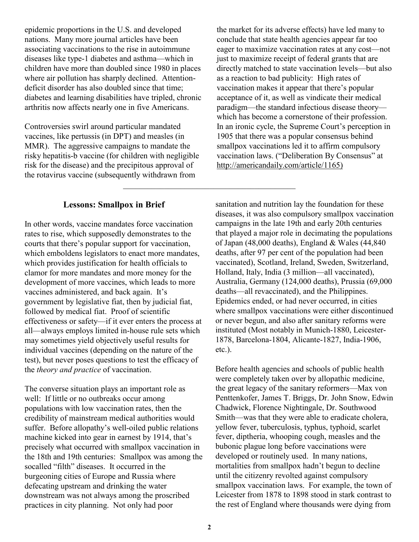epidemic proportions in the U.S. and developed nations. Many more journal articles have been associating vaccinations to the rise in autoimmune diseases like type-1 diabetes and asthma—which in children have more than doubled since 1980 in places where air pollution has sharply declined. Attentiondeficit disorder has also doubled since that time; diabetes and learning disabilities have tripled, chronic arthritis now affects nearly one in five Americans.

Controversies swirl around particular mandated vaccines, like pertussis (in DPT) and measles (in MMR). The aggressive campaigns to mandate the risky hepatitis-b vaccine (for children with negligible risk for the disease) and the precipitous approval of the rotavirus vaccine (subsequently withdrawn from

the market for its adverse effects) have led many to conclude that state health agencies appear far too eager to maximize vaccination rates at any cost—not just to maximize receipt of federal grants that are directly matched to state vaccination levels—but also as a reaction to bad publicity: High rates of vaccination makes it appear that there's popular acceptance of it, as well as vindicate their medical paradigm—the standard infectious disease theory which has become a cornerstone of their profession. In an ironic cycle, the Supreme Court's perception in 1905 that there was a popular consensus behind smallpox vaccinations led it to affirm compulsory vaccination laws. ("Deliberation By Consensus" at [http://americandaily.com/article/1165\)](http://americandaily.com/article/1165))

## **Lessons: Smallpox in Brief**

In other words, vaccine mandates force vaccination rates to rise, which supposedly demonstrates to the courts that there's popular support for vaccination, which emboldens legislators to enact more mandates, which provides justification for health officials to clamor for more mandates and more money for the development of more vaccines, which leads to more vaccines administered, and back again. It's government by legislative fiat, then by judicial fiat, followed by medical fiat. Proof of scientific effectiveness or safety—if it ever enters the process at all—always employs limited in-house rule sets which may sometimes yield objectively useful results for individual vaccines (depending on the nature of the test), but never poses questions to test the efficacy of the *theory and practice* of vaccination.

The converse situation plays an important role as well: If little or no outbreaks occur among populations with low vaccination rates, then the credibility of mainstream medical authorities would suffer. Before allopathy's well-oiled public relations machine kicked into gear in earnest by 1914, that's precisely what occurred with smallpox vaccination in the 18th and 19th centuries: Smallpox was among the socalled "filth" diseases. It occurred in the burgeoning cities of Europe and Russia where defecating upstream and drinking the water downstream was not always among the proscribed practices in city planning. Not only had poor

sanitation and nutrition lay the foundation for these diseases, it was also compulsory smallpox vaccination campaigns in the late 19th and early 20th centuries that played a major role in decimating the populations of Japan (48,000 deaths), England & Wales (44,840 deaths, after 97 per cent of the population had been vaccinated), Scotland, Ireland, Sweden, Switzerland, Holland, Italy, India (3 million—all vaccinated), Australia, Germany (124,000 deaths), Prussia (69,000 deaths—all revaccinated), and the Philippines. Epidemics ended, or had never occurred, in cities where smallpox vaccinations were either discontinued or never begun, and also after sanitary reforms were instituted (Most notably in Munich-1880, Leicester-1878, Barcelona-1804, Alicante-1827, India-1906, etc.).

Before health agencies and schools of public health were completely taken over by allopathic medicine, the great legacy of the sanitary reformers—Max von Penttenkofer, James T. Briggs, Dr. John Snow, Edwin Chadwick, Florence Nightingale, Dr. Southwood Smith—was that they were able to eradicate cholera, yellow fever, tuberculosis, typhus, typhoid, scarlet fever, diptheria, whooping cough, measles and the bubonic plague long before vaccinations were developed or routinely used. In many nations, mortalities from smallpox hadn't begun to decline until the citizenry revolted against compulsory smallpox vaccination laws. For example, the town of Leicester from 1878 to 1898 stood in stark contrast to the rest of England where thousands were dying from

 $\mathcal{L}_\text{max}$  , and the set of the set of the set of the set of the set of the set of the set of the set of the set of the set of the set of the set of the set of the set of the set of the set of the set of the set of the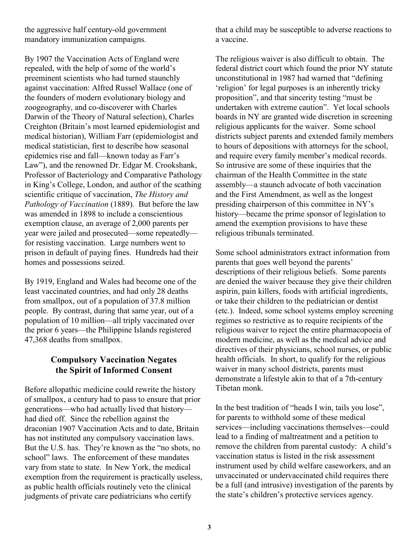the aggressive half century-old government mandatory immunization campaigns.

By 1907 the Vaccination Acts of England were repealed, with the help of some of the world's preeminent scientists who had turned staunchly against vaccination: Alfred Russel Wallace (one of the founders of modern evolutionary biology and zoogeography, and co-discoverer with Charles Darwin of the Theory of Natural selection), Charles Creighton (Britain's most learned epidemiologist and medical historian), William Farr (epidemiologist and medical statistician, first to describe how seasonal epidemics rise and fall—known today as Farr's Law"), and the renowned Dr. Edgar M. Crookshank, Professor of Bacteriology and Comparative Pathology in King's College, London, and author of the scathing scientific critique of vaccination, *The History and Pathology of Vaccination* (1889). But before the law was amended in 1898 to include a conscientious exemption clause, an average of 2,000 parents per year were jailed and prosecuted—some repeatedly for resisting vaccination. Large numbers went to prison in default of paying fines. Hundreds had their homes and possessions seized.

By 1919, England and Wales had become one of the least vaccinated countries, and had only 28 deaths from smallpox, out of a population of 37.8 million people. By contrast, during that same year, out of a population of 10 million—all triply vaccinated over the prior 6 years—the Philippine Islands registered 47,368 deaths from smallpox.

### **Compulsory Vaccination Negates the Spirit of Informed Consent**

Before allopathic medicine could rewrite the history of smallpox, a century had to pass to ensure that prior generations—who had actually lived that history had died off. Since the rebellion against the draconian 1907 Vaccination Acts and to date, Britain has not instituted any compulsory vaccination laws. But the U.S. has. They're known as the "no shots, no school" laws. The enforcement of these mandates vary from state to state. In New York, the medical exemption from the requirement is practically useless, as public health officials routinely veto the clinical judgments of private care pediatricians who certify

that a child may be susceptible to adverse reactions to a vaccine.

The religious waiver is also difficult to obtain. The federal district court which found the prior NY statute unconstitutional in 1987 had warned that "defining 'religion' for legal purposes is an inherently tricky proposition", and that sincerity testing "must be undertaken with extreme caution". Yet local schools boards in NY are granted wide discretion in screening religious applicants for the waiver. Some school districts subject parents and extended family members to hours of depositions with attorneys for the school, and require every family member's medical records. So intrusive are some of these inquiries that the chairman of the Health Committee in the state assembly—a staunch advocate of both vaccination and the First Amendment, as well as the longest presiding chairperson of this committee in NY's history—became the prime sponsor of legislation to amend the exemption provisions to have these religious tribunals terminated.

Some school administrators extract information from parents that goes well beyond the parents' descriptions of their religious beliefs. Some parents are denied the waiver because they give their children aspirin, pain killers, foods with artificial ingredients, or take their children to the pediatrician or dentist (etc.). Indeed, some school systems employ screening regimes so restrictive as to require recipients of the religious waiver to reject the entire pharmacopoeia of modern medicine, as well as the medical advice and directives of their physicians, school nurses, or public health officials. In short, to qualify for the religious waiver in many school districts, parents must demonstrate a lifestyle akin to that of a 7th-century Tibetan monk.

In the best tradition of "heads I win, tails you lose", for parents to withhold some of these medical services—including vaccinations themselves—could lead to a finding of maltreatment and a petition to remove the children from parental custody: A child's vaccination status is listed in the risk assessment instrument used by child welfare caseworkers, and an unvaccinated or undervaccinated child requires there be a full (and intrusive) investigation of the parents by the state's children's protective services agency.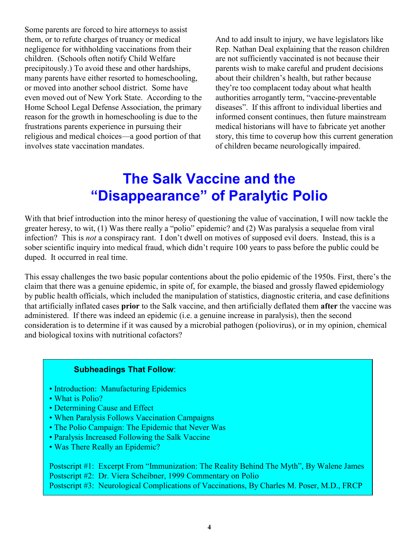Some parents are forced to hire attorneys to assist them, or to refute charges of truancy or medical negligence for withholding vaccinations from their children. (Schools often notify Child Welfare precipitously.) To avoid these and other hardships, many parents have either resorted to homeschooling, or moved into another school district. Some have even moved out of New York State. According to the Home School Legal Defense Association, the primary reason for the growth in homeschooling is due to the frustrations parents experience in pursuing their religious and medical choices—a good portion of that involves state vaccination mandates.

And to add insult to injury, we have legislators like Rep. Nathan Deal explaining that the reason children are not sufficiently vaccinated is not because their parents wish to make careful and prudent decisions about their children's health, but rather because they're too complacent today about what health authorities arrogantly term, "vaccine-preventable diseases". If this affront to individual liberties and informed consent continues, then future mainstream medical historians will have to fabricate yet another story, this time to coverup how this current generation of children became neurologically impaired.

# **The Salk Vaccine and the "Disappearance" of Paralytic Polio**

With that brief introduction into the minor heresy of questioning the value of vaccination, I will now tackle the greater heresy, to wit, (1) Was there really a "polio" epidemic? and (2) Was paralysis a sequelae from viral infection? This is *not* a conspiracy rant. I don't dwell on motives of supposed evil doers. Instead, this is a sober scientific inquiry into medical fraud, which didn't require 100 years to pass before the public could be duped. It occurred in real time.

This essay challenges the two basic popular contentions about the polio epidemic of the 1950s. First, there's the claim that there was a genuine epidemic, in spite of, for example, the biased and grossly flawed epidemiology by public health officials, which included the manipulation of statistics, diagnostic criteria, and case definitions that artificially inflated cases **prior** to the Salk vaccine, and then artificially deflated them **after** the vaccine was administered. If there was indeed an epidemic (i.e. a genuine increase in paralysis), then the second consideration is to determine if it was caused by a microbial pathogen (poliovirus), or in my opinion, chemical and biological toxins with nutritional cofactors?

#### **Subheadings That Follow**:

- Introduction: Manufacturing Epidemics
- What is Polio?
- Determining Cause and Effect
- When Paralysis Follows Vaccination Campaigns
- The Polio Campaign: The Epidemic that Never Was
- Paralysis Increased Following the Salk Vaccine
- Was There Really an Epidemic?

Postscript #1: Excerpt From "Immunization: The Reality Behind The Myth", By Walene James Postscript #2: Dr. Viera Scheibner, 1999 Commentary on Polio Postscript #3: Neurological Complications of Vaccinations, By Charles M. Poser, M.D., FRCP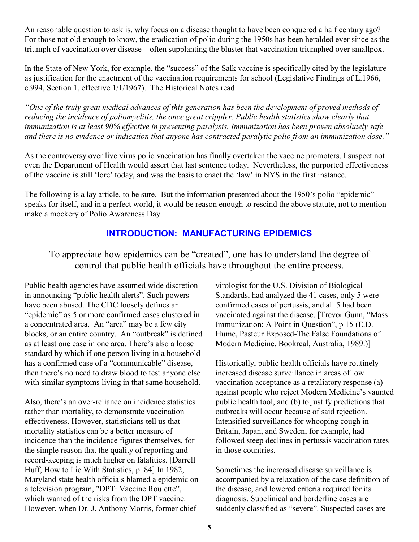An reasonable question to ask is, why focus on a disease thought to have been conquered a half century ago? For those not old enough to know, the eradication of polio during the 1950s has been heralded ever since as the triumph of vaccination over disease—often supplanting the bluster that vaccination triumphed over smallpox.

In the State of New York, for example, the "success" of the Salk vaccine is specifically cited by the legislature as justification for the enactment of the vaccination requirements for school (Legislative Findings of L.1966, c.994, Section 1, effective 1/1/1967). The Historical Notes read:

*"One of the truly great medical advances of this generation has been the development of proved methods of reducing the incidence of poliomyelitis, the once great crippler. Public health statistics show clearly that immunization is at least 90% effective in preventing paralysis. Immunization has been proven absolutely safe and there is no evidence or indication that anyone has contracted paralytic polio from an immunization dose."*

As the controversy over live virus polio vaccination has finally overtaken the vaccine promoters, I suspect not even the Department of Health would assert that last sentence today. Nevertheless, the purported effectiveness of the vaccine is still 'lore' today, and was the basis to enact the 'law' in NYS in the first instance.

The following is a lay article, to be sure. But the information presented about the 1950's polio "epidemic" speaks for itself, and in a perfect world, it would be reason enough to rescind the above statute, not to mention make a mockery of Polio Awareness Day.

## **INTRODUCTION: MANUFACTURING EPIDEMICS**

To appreciate how epidemics can be "created", one has to understand the degree of control that public health officials have throughout the entire process.

Public health agencies have assumed wide discretion in announcing "public health alerts". Such powers have been abused. The CDC loosely defines an "epidemic" as 5 or more confirmed cases clustered in a concentrated area. An "area" may be a few city blocks, or an entire country. An "outbreak" is defined as at least one case in one area. There's also a loose standard by which if one person living in a household has a confirmed case of a "communicable" disease, then there's no need to draw blood to test anyone else with similar symptoms living in that same household.

Also, there's an over-reliance on incidence statistics rather than mortality, to demonstrate vaccination effectiveness. However, statisticians tell us that mortality statistics can be a better measure of incidence than the incidence figures themselves, for the simple reason that the quality of reporting and record-keeping is much higher on fatalities. [Darrell Huff, How to Lie With Statistics, p. 84] In 1982, Maryland state health officials blamed a epidemic on a television program, "DPT: Vaccine Roulette", which warned of the risks from the DPT vaccine. However, when Dr. J. Anthony Morris, former chief

virologist for the U.S. Division of Biological Standards, had analyzed the 41 cases, only 5 were confirmed cases of pertussis, and all 5 had been vaccinated against the disease. [Trevor Gunn, "Mass Immunization: A Point in Question", p 15 (E.D. Hume, Pasteur Exposed-The False Foundations of Modern Medicine, Bookreal, Australia, 1989.)]

Historically, public health officials have routinely increased disease surveillance in areas of low vaccination acceptance as a retaliatory response (a) against people who reject Modern Medicine's vaunted public health tool, and (b) to justify predictions that outbreaks will occur because of said rejection. Intensified surveillance for whooping cough in Britain, Japan, and Sweden, for example, had followed steep declines in pertussis vaccination rates in those countries.

Sometimes the increased disease surveillance is accompanied by a relaxation of the case definition of the disease, and lowered criteria required for its diagnosis. Subclinical and borderline cases are suddenly classified as "severe". Suspected cases are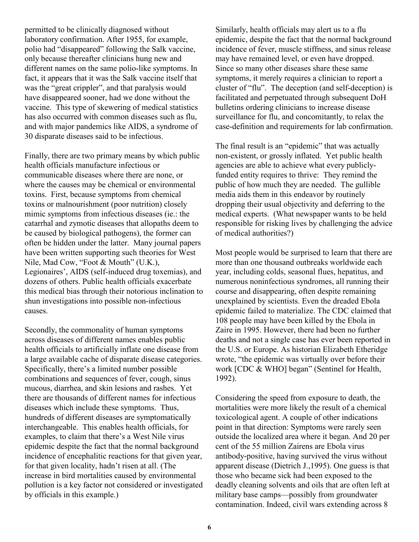permitted to be clinically diagnosed without laboratory confirmation. After 1955, for example, polio had "disappeared" following the Salk vaccine, only because thereafter clinicians hung new and different names on the same polio-like symptoms. In fact, it appears that it was the Salk vaccine itself that was the "great crippler", and that paralysis would have disappeared sooner, had we done without the vaccine. This type of skewering of medical statistics has also occurred with common diseases such as flu, and with major pandemics like AIDS, a syndrome of 30 disparate diseases said to be infectious.

Finally, there are two primary means by which public health officials manufacture infectious or communicable diseases where there are none, or where the causes may be chemical or environmental toxins. First, because symptoms from chemical toxins or malnourishment (poor nutrition) closely mimic symptoms from infectious diseases (ie.: the catarrhal and zymotic diseases that allopaths deem to be caused by biological pathogens), the former can often be hidden under the latter. Many journal papers have been written supporting such theories for West Nile, Mad Cow, "Foot & Mouth" (U.K.), Legionaires', AIDS (self-induced drug toxemias), and dozens of others. Public health officials exacerbate this medical bias through their notorious inclination to shun investigations into possible non-infectious causes.

Secondly, the commonality of human symptoms across diseases of different names enables public health officials to artificially inflate one disease from a large available cache of disparate disease categories. Specifically, there's a limited number possible combinations and sequences of fever, cough, sinus mucous, diarrhea, and skin lesions and rashes. Yet there are thousands of different names for infectious diseases which include these symptoms. Thus, hundreds of different diseases are symptomatically interchangeable. This enables health officials, for examples, to claim that there's a West Nile virus epidemic despite the fact that the normal background incidence of encephalitic reactions for that given year, for that given locality, hadn't risen at all. (The increase in bird mortalities caused by environmental pollution is a key factor not considered or investigated by officials in this example.)

Similarly, health officials may alert us to a flu epidemic, despite the fact that the normal background incidence of fever, muscle stiffness, and sinus release may have remained level, or even have dropped. Since so many other diseases share these same symptoms, it merely requires a clinician to report a cluster of "flu". The deception (and self-deception) is facilitated and perpetuated through subsequent DoH bulletins ordering clinicians to increase disease surveillance for flu, and concomitantly, to relax the case-definition and requirements for lab confirmation.

The final result is an "epidemic" that was actually non-existent, or grossly inflated. Yet public health agencies are able to achieve what every publiclyfunded entity requires to thrive: They remind the public of how much they are needed. The gullible media aids them in this endeavor by routinely dropping their usual objectivity and deferring to the medical experts. (What newspaper wants to be held responsible for risking lives by challenging the advice of medical authorities?)

Most people would be surprised to learn that there are more than one thousand outbreaks worldwide each year, including colds, seasonal flues, hepatitus, and numerous noninfectious syndromes, all running their course and disappearing, often despite remaining unexplained by scientists. Even the dreaded Ebola epidemic failed to materialize. The CDC claimed that 108 people may have been killed by the Ebola in Zaire in 1995. However, there had been no further deaths and not a single case has ever been reported in the U.S. or Europe. As historian Elizabeth Etheridge wrote, "the epidemic was virtually over before their work [CDC & WHO] began" (Sentinel for Health, 1992).

Considering the speed from exposure to death, the mortalities were more likely the result of a chemical toxicological agent. A couple of other indications point in that direction: Symptoms were rarely seen outside the localized area where it began. And 20 per cent of the 55 million Zairens are Ebola virus antibody-positive, having survived the virus without apparent disease (Dietrich J.,1995). One guess is that those who became sick had been exposed to the deadly cleaning solvents and oils that are often left at military base camps—possibly from groundwater contamination. Indeed, civil wars extending across 8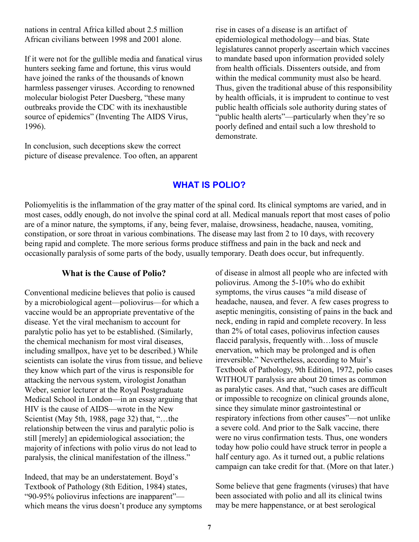nations in central Africa killed about 2.5 million African civilians between 1998 and 2001 alone.

If it were not for the gullible media and fanatical virus hunters seeking fame and fortune, this virus would have joined the ranks of the thousands of known harmless passenger viruses. According to renowned molecular biologist Peter Duesberg, "these many outbreaks provide the CDC with its inexhaustible source of epidemics" (Inventing The AIDS Virus, 1996).

In conclusion, such deceptions skew the correct picture of disease prevalence. Too often, an apparent rise in cases of a disease is an artifact of epidemiological methodology—and bias. State legislatures cannot properly ascertain which vaccines to mandate based upon information provided solely from health officials. Dissenters outside, and from within the medical community must also be heard. Thus, given the traditional abuse of this responsibility by health officials, it is imprudent to continue to vest public health officials sole authority during states of "public health alerts"—particularly when they're so poorly defined and entail such a low threshold to demonstrate.

#### **WHAT IS POLIO?**

Poliomyelitis is the inflammation of the gray matter of the spinal cord. Its clinical symptoms are varied, and in most cases, oddly enough, do not involve the spinal cord at all. Medical manuals report that most cases of polio are of a minor nature, the symptoms, if any, being fever, malaise, drowsiness, headache, nausea, vomiting, constipation, or sore throat in various combinations. The disease may last from 2 to 10 days, with recovery being rapid and complete. The more serious forms produce stiffness and pain in the back and neck and occasionally paralysis of some parts of the body, usually temporary. Death does occur, but infrequently.

#### **What is the Cause of Polio?**

Conventional medicine believes that polio is caused by a microbiological agent—poliovirus—for which a vaccine would be an appropriate preventative of the disease. Yet the viral mechanism to account for paralytic polio has yet to be established. (Similarly, the chemical mechanism for most viral diseases, including smallpox, have yet to be described.) While scientists can isolate the virus from tissue, and believe they know which part of the virus is responsible for attacking the nervous system, virologist Jonathan Weber, senior lecturer at the Royal Postgraduate Medical School in London—in an essay arguing that HIV is the cause of AIDS—wrote in the New Scientist (May 5th, 1988, page 32) that, "…the relationship between the virus and paralytic polio is still [merely] an epidemiological association; the majority of infections with polio virus do not lead to paralysis, the clinical manifestation of the illness."

Indeed, that may be an understatement. Boyd's Textbook of Pathology (8th Edition, 1984) states, "90-95% poliovirus infections are inapparent" which means the virus doesn't produce any symptoms of disease in almost all people who are infected with poliovirus. Among the 5-10% who do exhibit symptoms, the virus causes "a mild disease of headache, nausea, and fever. A few cases progress to aseptic meningitis, consisting of pains in the back and neck, ending in rapid and complete recovery. In less than 2% of total cases, poliovirus infection causes flaccid paralysis, frequently with…loss of muscle enervation, which may be prolonged and is often irreversible." Nevertheless, according to Muir's Textbook of Pathology, 9th Edition, 1972, polio cases WITHOUT paralysis are about 20 times as common as paralytic cases. And that, "such cases are difficult or impossible to recognize on clinical grounds alone, since they simulate minor gastrointestinal or respiratory infections from other causes"—not unlike a severe cold. And prior to the Salk vaccine, there were no virus confirmation tests. Thus, one wonders today how polio could have struck terror in people a half century ago. As it turned out, a public relations campaign can take credit for that. (More on that later.)

Some believe that gene fragments (viruses) that have been associated with polio and all its clinical twins may be mere happenstance, or at best serological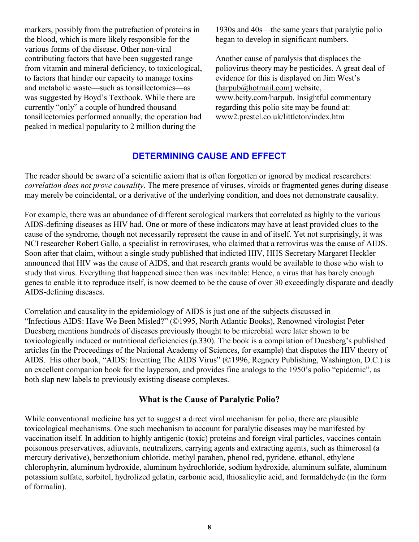markers, possibly from the putrefaction of proteins in the blood, which is more likely responsible for the various forms of the disease. Other non-viral contributing factors that have been suggested range from vitamin and mineral deficiency, to toxicological, to factors that hinder our capacity to manage toxins and metabolic waste—such as tonsillectomies—as was suggested by Boyd's Textbook. While there are currently "only" a couple of hundred thousand tonsillectomies performed annually, the operation had peaked in medical popularity to 2 million during the

1930s and 40s—the same years that paralytic polio began to develop in significant numbers.

Another cause of paralysis that displaces the poliovirus theory may be pesticides. A great deal of evidence for this is displayed on Jim West's [\(harpub@hotmail.com\)](mailto:(harpub@hotmail.com)) website, [www.bcity.com/harpub.](http://www.bcity.com/harpub) Insightful commentary regarding this polio site may be found at: www2.prestel.co.uk/littleton/index.htm

## **DETERMINING CAUSE AND EFFECT**

The reader should be aware of a scientific axiom that is often forgotten or ignored by medical researchers: *correlation does not prove causality*. The mere presence of viruses, viroids or fragmented genes during disease may merely be coincidental, or a derivative of the underlying condition, and does not demonstrate causality.

For example, there was an abundance of different serological markers that correlated as highly to the various AIDS-defining diseases as HIV had. One or more of these indicators may have at least provided clues to the cause of the syndrome, though not necessarily represent the cause in and of itself. Yet not surprisingly, it was NCI researcher Robert Gallo, a specialist in retroviruses, who claimed that a retrovirus was the cause of AIDS. Soon after that claim, without a single study published that indicted HIV, HHS Secretary Margaret Heckler announced that HIV was the cause of AIDS, and that research grants would be available to those who wish to study that virus. Everything that happened since then was inevitable: Hence, a virus that has barely enough genes to enable it to reproduce itself, is now deemed to be the cause of over 30 exceedingly disparate and deadly AIDS-defining diseases.

Correlation and causality in the epidemiology of AIDS is just one of the subjects discussed in "Infectious AIDS: Have We Been Misled?" (©1995, North Atlantic Books), Renowned virologist Peter Duesberg mentions hundreds of diseases previously thought to be microbial were later shown to be toxicologically induced or nutritional deficiencies (p.330). The book is a compilation of Duesberg's published articles (in the Proceedings of the National Academy of Sciences, for example) that disputes the HIV theory of AIDS. His other book, "AIDS: Inventing The AIDS Virus" (©1996, Regnery Publishing, Washington, D.C.) is an excellent companion book for the layperson, and provides fine analogs to the 1950's polio "epidemic", as both slap new labels to previously existing disease complexes.

#### **What is the Cause of Paralytic Polio?**

While conventional medicine has yet to suggest a direct viral mechanism for polio, there are plausible toxicological mechanisms. One such mechanism to account for paralytic diseases may be manifested by vaccination itself. In addition to highly antigenic (toxic) proteins and foreign viral particles, vaccines contain poisonous preservatives, adjuvants, neutralizers, carrying agents and extracting agents, such as thimerosal (a mercury derivative), benzethonium chloride, methyl paraben, phenol red, pyridene, ethanol, ethylene chlorophyrin, aluminum hydroxide, aluminum hydrochloride, sodium hydroxide, aluminum sulfate, aluminum potassium sulfate, sorbitol, hydrolized gelatin, carbonic acid, thiosalicylic acid, and formaldehyde (in the form of formalin).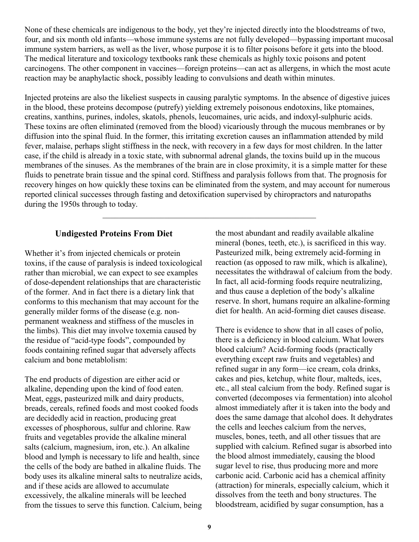None of these chemicals are indigenous to the body, yet they're injected directly into the bloodstreams of two, four, and six month old infants—whose immune systems are not fully developed—bypassing important mucosal immune system barriers, as well as the liver, whose purpose it is to filter poisons before it gets into the blood. The medical literature and toxicology textbooks rank these chemicals as highly toxic poisons and potent carcinogens. The other component in vaccines—foreign proteins—can act as allergens, in which the most acute reaction may be anaphylactic shock, possibly leading to convulsions and death within minutes.

Injected proteins are also the likeliest suspects in causing paralytic symptoms. In the absence of digestive juices in the blood, these proteins decompose (putrefy) yielding extremely poisonous endotoxins, like ptomaines, creatins, xanthins, purines, indoles, skatols, phenols, leucomaines, uric acids, and indoxyl-sulphuric acids. These toxins are often eliminated (removed from the blood) vicariously through the mucous membranes or by diffusion into the spinal fluid. In the former, this irritating excretion causes an inflammation attended by mild fever, malaise, perhaps slight stiffness in the neck, with recovery in a few days for most children. In the latter case, if the child is already in a toxic state, with subnormal adrenal glands, the toxins build up in the mucous membranes of the sinuses. As the membranes of the brain are in close proximity, it is a simple matter for these fluids to penetrate brain tissue and the spinal cord. Stiffness and paralysis follows from that. The prognosis for recovery hinges on how quickly these toxins can be eliminated from the system, and may account for numerous reported clinical successes through fasting and detoxification supervised by chiropractors and naturopaths during the 1950s through to today.

 $\mathcal{L}_\text{max}$  and the contract of the contract of the contract of the contract of the contract of the contract of the contract of the contract of the contract of the contract of the contract of the contract of the contrac

#### **Undigested Proteins From Diet**

Whether it's from injected chemicals or protein toxins, if the cause of paralysis is indeed toxicological rather than microbial, we can expect to see examples of dose-dependent relationships that are characteristic of the former. And in fact there is a dietary link that conforms to this mechanism that may account for the generally milder forms of the disease (e.g. nonpermanent weakness and stiffness of the muscles in the limbs). This diet may involve toxemia caused by the residue of "acid-type foods", compounded by foods containing refined sugar that adversely affects calcium and bone metablolism:

The end products of digestion are either acid or alkaline, depending upon the kind of food eaten. Meat, eggs, pasteurized milk and dairy products, breads, cereals, refined foods and most cooked foods are decidedly acid in reaction, producing great excesses of phosphorous, sulfur and chlorine. Raw fruits and vegetables provide the alkaline mineral salts (calcium, magnesium, iron, etc.). An alkaline blood and lymph is necessary to life and health, since the cells of the body are bathed in alkaline fluids. The body uses its alkaline mineral salts to neutralize acids, and if these acids are allowed to accumulate excessively, the alkaline minerals will be leeched from the tissues to serve this function. Calcium, being

the most abundant and readily available alkaline mineral (bones, teeth, etc.), is sacrificed in this way. Pasteurized milk, being extremely acid-forming in reaction (as opposed to raw milk, which is alkaline), necessitates the withdrawal of calcium from the body. In fact, all acid-forming foods require neutralizing, and thus cause a depletion of the body's alkaline reserve. In short, humans require an alkaline-forming diet for health. An acid-forming diet causes disease.

There is evidence to show that in all cases of polio, there is a deficiency in blood calcium. What lowers blood calcium? Acid-forming foods (practically everything except raw fruits and vegetables) and refined sugar in any form—ice cream, cola drinks, cakes and pies, ketchup, white flour, malteds, ices, etc., all steal calcium from the body. Refined sugar is converted (decomposes via fermentation) into alcohol almost immediately after it is taken into the body and does the same damage that alcohol does. It dehydrates the cells and leeches calcium from the nerves, muscles, bones, teeth, and all other tissues that are supplied with calcium. Refined sugar is absorbed into the blood almost immediately, causing the blood sugar level to rise, thus producing more and more carbonic acid. Carbonic acid has a chemical affinity (attraction) for minerals, especially calcium, which it dissolves from the teeth and bony structures. The bloodstream, acidified by sugar consumption, has a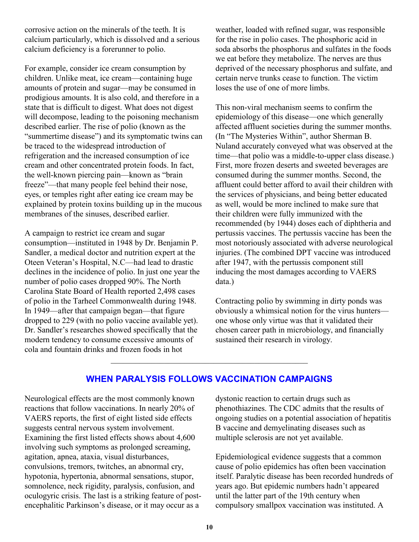corrosive action on the minerals of the teeth. It is calcium particularly, which is dissolved and a serious calcium deficiency is a forerunner to polio.

For example, consider ice cream consumption by children. Unlike meat, ice cream—containing huge amounts of protein and sugar—may be consumed in prodigious amounts. It is also cold, and therefore in a state that is difficult to digest. What does not digest will decompose, leading to the poisoning mechanism described earlier. The rise of polio (known as the "summertime disease") and its symptomatic twins can be traced to the widespread introduction of refrigeration and the increased consumption of ice cream and other concentrated protein foods. In fact, the well-known piercing pain—known as "brain freeze"—that many people feel behind their nose, eyes, or temples right after eating ice cream may be explained by protein toxins building up in the mucous membranes of the sinuses, described earlier.

A campaign to restrict ice cream and sugar consumption—instituted in 1948 by Dr. Benjamin P. Sandler, a medical doctor and nutrition expert at the Oteen Veteran's Hospital, N.C—had lead to drastic declines in the incidence of polio. In just one year the number of polio cases dropped 90%. The North Carolina State Board of Health reported 2,498 cases of polio in the Tarheel Commonwealth during 1948. In 1949—after that campaign began—that figure dropped to 229 (with no polio vaccine available yet). Dr. Sandler's researches showed specifically that the modern tendency to consume excessive amounts of cola and fountain drinks and frozen foods in hot

weather, loaded with refined sugar, was responsible for the rise in polio cases. The phosphoric acid in soda absorbs the phosphorus and sulfates in the foods we eat before they metabolize. The nerves are thus deprived of the necessary phosphorus and sulfate, and certain nerve trunks cease to function. The victim loses the use of one of more limbs.

This non-viral mechanism seems to confirm the epidemiology of this disease—one which generally affected affluent societies during the summer months. (In "The Mysteries Within", author Sherman B. Nuland accurately conveyed what was observed at the time—that polio was a middle-to-upper class disease.) First, more frozen deserts and sweeted beverages are consumed during the summer months. Second, the affluent could better afford to avail their children with the services of physicians, and being better educated as well, would be more inclined to make sure that their children were fully immunized with the recommended (by 1944) doses each of diphtheria and pertussis vaccines. The pertussis vaccine has been the most notoriously associated with adverse neurological injuries. (The combined DPT vaccine was introduced after 1947, with the pertussis component still inducing the most damages according to VAERS data.)

Contracting polio by swimming in dirty ponds was obviously a whimsical notion for the virus hunters one whose only virtue was that it validated their chosen career path in microbiology, and financially sustained their research in virology.

#### **WHEN PARALYSIS FOLLOWS VACCINATION CAMPAIGNS**

 $\mathcal{L}_\text{max}$  , and the contract of the contract of the contract of the contract of the contract of the contract of the contract of the contract of the contract of the contract of the contract of the contract of the contr

Neurological effects are the most commonly known reactions that follow vaccinations. In nearly 20% of VAERS reports, the first of eight listed side effects suggests central nervous system involvement. Examining the first listed effects shows about 4,600 involving such symptoms as prolonged screaming, agitation, apnea, ataxia, visual disturbances, convulsions, tremors, twitches, an abnormal cry, hypotonia, hypertonia, abnormal sensations, stupor, somnolence, neck rigidity, paralysis, confusion, and oculogyric crisis. The last is a striking feature of postencephalitic Parkinson's disease, or it may occur as a

dystonic reaction to certain drugs such as phenothiazines. The CDC admits that the results of ongoing studies on a potential association of hepatitis B vaccine and demyelinating diseases such as multiple sclerosis are not yet available.

Epidemiological evidence suggests that a common cause of polio epidemics has often been vaccination itself. Paralytic disease has been recorded hundreds of years ago. But epidemic numbers hadn't appeared until the latter part of the 19th century when compulsory smallpox vaccination was instituted. A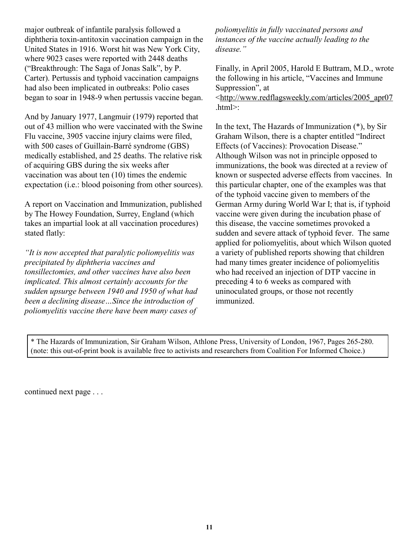major outbreak of infantile paralysis followed a diphtheria toxin-antitoxin vaccination campaign in the United States in 1916. Worst hit was New York City, where 9023 cases were reported with 2448 deaths ("Breakthrough: The Saga of Jonas Salk", by P. Carter). Pertussis and typhoid vaccination campaigns had also been implicated in outbreaks: Polio cases began to soar in 1948-9 when pertussis vaccine began.

And by January 1977, Langmuir (1979) reported that out of 43 million who were vaccinated with the Swine Flu vaccine, 3905 vaccine injury claims were filed, with 500 cases of Guillain-Barré syndrome (GBS) medically established, and 25 deaths. The relative risk of acquiring GBS during the six weeks after vaccination was about ten (10) times the endemic expectation (i.e.: blood poisoning from other sources).

A report on Vaccination and Immunization, published by The Howey Foundation, Surrey, England (which takes an impartial look at all vaccination procedures) stated flatly:

*"It is now accepted that paralytic poliomyelitis was precipitated by diphtheria vaccines and tonsillectomies, and other vaccines have also been implicated. This almost certainly accounts for the sudden upsurge between 1940 and 1950 of what had been a declining disease…Since the introduction of poliomyelitis vaccine there have been many cases of*

*poliomyelitis in fully vaccinated persons and instances of the vaccine actually leading to the disease."*

Finally, in April 2005, Harold E Buttram, M.D., wrote the following in his article, "Vaccines and Immune Suppression", at <[http://www.redflagsweekly.com/articles/2005\\_apr07](http://www.redflagsweekly.com/articles/2005_apr07)  $html$ 

In the text, The Hazards of Immunization (\*), by Sir Graham Wilson, there is a chapter entitled "Indirect Effects (of Vaccines): Provocation Disease." Although Wilson was not in principle opposed to immunizations, the book was directed at a review of known or suspected adverse effects from vaccines. In this particular chapter, one of the examples was that of the typhoid vaccine given to members of the German Army during World War I; that is, if typhoid vaccine were given during the incubation phase of this disease, the vaccine sometimes provoked a sudden and severe attack of typhoid fever. The same applied for poliomyelitis, about which Wilson quoted a variety of published reports showing that children had many times greater incidence of poliomyelitis who had received an injection of DTP vaccine in preceding 4 to 6 weeks as compared with uninoculated groups, or those not recently immunized.

\* The Hazards of Immunization, Sir Graham Wilson, Athlone Press, University of London, 1967, Pages 265-280. (note: this out-of-print book is available free to activists and researchers from Coalition For Informed Choice.)

continued next page . . .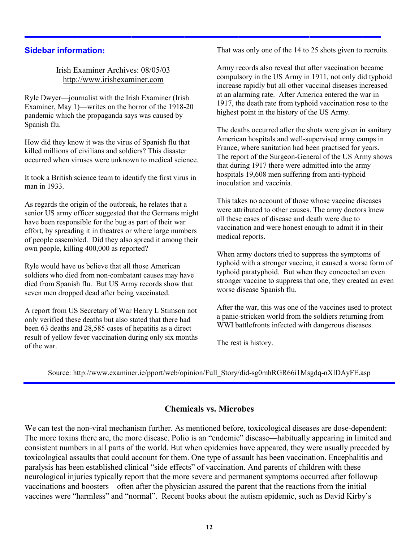#### **Sidebar information:**

Irish Examiner Archives: 08/05/03 <http://www.irishexaminer.com>

Ryle Dwyer—journalist with the Irish Examiner (Irish Examiner, May 1)—writes on the horror of the 1918-20 pandemic which the propaganda says was caused by Spanish flu.

How did they know it was the virus of Spanish flu that killed millions of civilians and soldiers? This disaster occurred when viruses were unknown to medical science.

It took a British science team to identify the first virus in man in 1933

As regards the origin of the outbreak, he relates that a senior US army officer suggested that the Germans might have been responsible for the bug as part of their war effort, by spreading it in theatres or where large numbers of people assembled. Did they also spread it among their own people, killing 400,000 as reported?

Ryle would have us believe that all those American soldiers who died from non-combatant causes may have died from Spanish flu. But US Army records show that seven men dropped dead after being vaccinated.

A report from US Secretary of War Henry L Stimson not only verified these deaths but also stated that there had been 63 deaths and 28,585 cases of hepatitis as a direct result of yellow fever vaccination during only six months of the war.

That was only one of the 14 to 25 shots given to recruits.

Army records also reveal that after vaccination became compulsory in the US Army in 1911, not only did typhoid increase rapidly but all other vaccinal diseases increased at an alarming rate. After America entered the war in 1917, the death rate from typhoid vaccination rose to the highest point in the history of the US Army.

The deaths occurred after the shots were given in sanitary American hospitals and well-supervised army camps in France, where sanitation had been practised for years. The report of the Surgeon-General of the US Army shows that during 1917 there were admitted into the army hospitals 19,608 men suffering from anti-typhoid inoculation and vaccinia.

This takes no account of those whose vaccine diseases were attributed to other causes. The army doctors knew all these cases of disease and death were due to vaccination and were honest enough to admit it in their medical reports.

When army doctors tried to suppress the symptoms of typhoid with a stronger vaccine, it caused a worse form of typhoid paratyphoid. But when they concocted an even stronger vaccine to suppress that one, they created an even worse disease Spanish flu.

After the war, this was one of the vaccines used to protect a panic-stricken world from the soldiers returning from WWI battlefronts infected with dangerous diseases.

The rest is history.

Source: [http://www.examiner.ie/pport/web/opinion/Full\\_Story/did-sg0mhRGR66i1Msgdq-nXlDAyFE.asp](http://www.examiner.ie/pport/web/opinion/Full_Story/did-sg0mhRGR66i1Msgdq-nXlDAyFE.asp)

**————————————————————**

#### **Chemicals vs. Microbes**

We can test the non-viral mechanism further. As mentioned before, toxicological diseases are dose-dependent: The more toxins there are, the more disease. Polio is an "endemic" disease—habitually appearing in limited and consistent numbers in all parts of the world. But when epidemics have appeared, they were usually preceded by toxicological assaults that could account for them. One type of assault has been vaccination. Encephalitis and paralysis has been established clinical "side effects" of vaccination. And parents of children with these neurological injuries typically report that the more severe and permanent symptoms occurred after followup vaccinations and boosters—often after the physician assured the parent that the reactions from the initial vaccines were "harmless" and "normal". Recent books about the autism epidemic, such as David Kirby's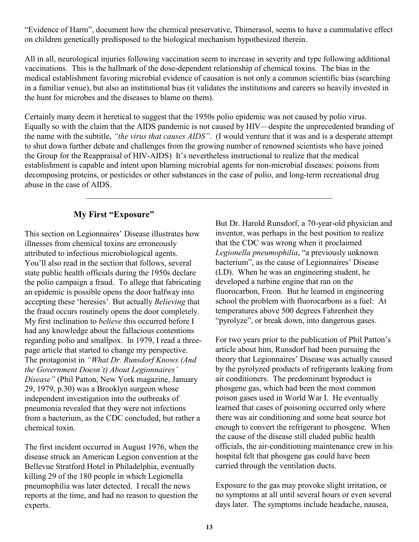"Evidence of Harm", document how the chemical preservative, Thimerasol, seems to have a cummulative effect on children genetically predisposed to the biological mechanism hypothesized therein.

All in all, neurological injuries following vaccination seem to increase in severity and type following additional vaccinations. This is the hallmark of the dose-dependent relationship of chemical toxins. The bias in the medical establishment favoring microbial evidence of causation is not only a common scientific bias (searching in a familiar venue), but also an institutional bias (it validates the institutions and careers so heavily invested in the hunt for microbes and the diseases to blame on them).

Certainly many deem it heretical to suggest that the 1950s polio epidemic was not caused by polio virus. Equally so with the claim that the AIDS pandemic is not caused by HIV—despite the unprecedented branding of the name with the subtitle, *"the virus that causes AIDS"*. (I would venture that it was and is a desperate attempt to shut down further debate and challenges from the growing number of renowned scientists who have joined the Group for the Reappraisal of HIV-AIDS) It's nevertheless instructional to realize that the medical establishment is capable and intent upon blaming microbial agents for non-microbial diseases: poisons from decomposing proteins, or pesticides or other substances in the case of polio, and long-term recreational drug abuse in the case of AIDS.

 $\mathcal{L}_\mathcal{L}$  , and the contribution of the contribution of the contribution of the contribution of the contribution of the contribution of the contribution of the contribution of the contribution of the contribution of

#### **My First "Exposure"**

This section on Legionnaires' Disease illustrates how illnesses from chemical toxins are erroneously attributed to infectious microbiological agents. You'll also read in the section that follows, several state public health officials during the 1950s declare the polio campaign a fraud. To allege that fabricating an epidemic is possible opens the door halfway into accepting these 'heresies'. But actually *Believing* that the fraud occurs routinely opens the door completely. My first inclination to *believe* this occurred before I had any knowledge about the fallacious contentions regarding polio and smallpox. In 1979, I read a threepage article that started to change my perspective. The protagonist in *"What Dr. Runsdorf Knows (And the Government Doesn't) About Legionnaires' Disease"* (Phil Patton, New York magazine, January 29, 1979, p.30) was a Brooklyn surgeon whose independent investigation into the outbreaks of pneumonia revealed that they were not infections from a bacterium, as the CDC concluded, but rather a chemical toxin.

The first incident occurred in August 1976, when the disease struck an American Legion convention at the Bellevue Stratford Hotel in Philadelphia, eventually killing 29 of the 180 people in which Legionella pneumophilia was later detected. I recall the news reports at the time, and had no reason to question the experts.

But Dr. Harold Runsdorf, a 70-year-old physician and inventor, was perhaps in the best position to realize that the CDC was wrong when it proclaimed *Legionella pneumophilia*, "a previously unknown bacterium", as the cause of Legionnaires' Disease (LD). When he was an engineering student, he developed a turbine engine that ran on the fluorocarbon, Freon. But he learned in engineering school the problem with fluorocarbons as a fuel: At temperatures above 500 degrees Fahrenheit they "pyrolyze", or break down, into dangerous gases.

For two years prior to the publication of Phil Patton's article about him, Runsdorf had been pursuing the theory that Legionnaires' Disease was actually caused by the pyrolyzed products of refrigerants leaking from air conditioners. The predominant byproduct is phosgene gas, which had been the most common poison gases used in World War I. He eventually learned that cases of poisoning occurred only where there was air conditioning and some heat source hot enough to convert the refrigerant to phosgene. When the cause of the disease still eluded public health officials, the air-conditioning maintenance crew in his hospital felt that phosgene gas could have been carried through the ventilation ducts.

Exposure to the gas may provoke slight irritation, or no symptoms at all until several hours or even several days later. The symptoms include headache, nausea,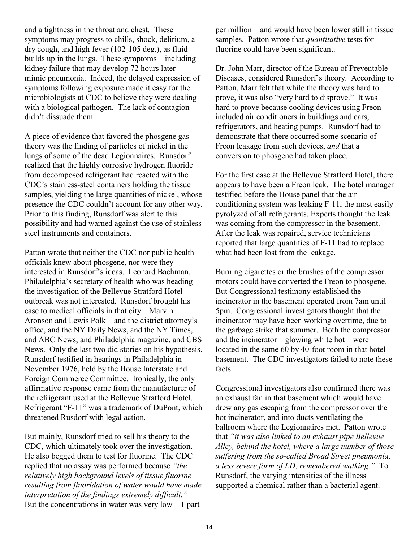and a tightness in the throat and chest. These symptoms may progress to chills, shock, delirium, a dry cough, and high fever (102-105 deg.), as fluid builds up in the lungs. These symptoms—including kidney failure that may develop 72 hours later mimic pneumonia. Indeed, the delayed expression of symptoms following exposure made it easy for the microbiologists at CDC to believe they were dealing with a biological pathogen. The lack of contagion didn't dissuade them.

A piece of evidence that favored the phosgene gas theory was the finding of particles of nickel in the lungs of some of the dead Legionnaires. Runsdorf realized that the highly corrosive hydrogen fluoride from decomposed refrigerant had reacted with the CDC's stainless-steel containers holding the tissue samples, yielding the large quantities of nickel, whose presence the CDC couldn't account for any other way. Prior to this finding, Runsdorf was alert to this possibility and had warned against the use of stainless steel instruments and containers.

Patton wrote that neither the CDC nor public health officials knew about phosgene, nor were they interested in Runsdorf's ideas. Leonard Bachman, Philadelphia's secretary of health who was heading the investigation of the Bellevue Stratford Hotel outbreak was not interested. Runsdorf brought his case to medical officials in that city—Marvin Aronson and Lewis Polk—and the district attorney's office, and the NY Daily News, and the NY Times, and ABC News, and Philadelphia magazine, and CBS News. Only the last two did stories on his hypothesis. Runsdorf testified in hearings in Philadelphia in November 1976, held by the House Interstate and Foreign Commerce Committee. Ironically, the only affirmative response came from the manufacturer of the refrigerant used at the Bellevue Stratford Hotel. Refrigerant "F-11" was a trademark of DuPont, which threatened Rusdorf with legal action.

But mainly, Runsdorf tried to sell his theory to the CDC, which ultimately took over the investigation. He also begged them to test for fluorine. The CDC replied that no assay was performed because *"the relatively high background levels of tissue fluorine resulting from fluoridation of water would have made interpretation of the findings extremely difficult."* But the concentrations in water was very low—1 part

per million—and would have been lower still in tissue samples. Patton wrote that *quantitative* tests for fluorine could have been significant.

Dr. John Marr, director of the Bureau of Preventable Diseases, considered Runsdorf's theory. According to Patton, Marr felt that while the theory was hard to prove, it was also "very hard to disprove." It was hard to prove because cooling devices using Freon included air conditioners in buildings and cars, refrigerators, and heating pumps. Runsdorf had to demonstrate that there occurred some scenario of Freon leakage from such devices, *and* that a conversion to phosgene had taken place.

For the first case at the Bellevue Stratford Hotel, there appears to have been a Freon leak. The hotel manager testified before the House panel that the airconditioning system was leaking F-11, the most easily pyrolyzed of all refrigerants. Experts thought the leak was coming from the compressor in the basement. After the leak was repaired, service technicians reported that large quantities of F-11 had to replace what had been lost from the leakage.

Burning cigarettes or the brushes of the compressor motors could have converted the Freon to phosgene. But Congressional testimony established the incinerator in the basement operated from 7am until 5pm. Congressional investigators thought that the incinerator may have been working overtime, due to the garbage strike that summer. Both the compressor and the incinerator—glowing white hot—were located in the same 60 by 40-foot room in that hotel basement. The CDC investigators failed to note these facts.

Congressional investigators also confirmed there was an exhaust fan in that basement which would have drew any gas escaping from the compressor over the hot incinerator, and into ducts ventilating the ballroom where the Legionnaires met. Patton wrote that *"it was also linked to an exhaust pipe Bellevue Alley, behind the hotel, where a large number of those suffering from the so-called Broad Street pneumonia, a less severe form of LD, remembered walking."* To Runsdorf, the varying intensities of the illness supported a chemical rather than a bacterial agent.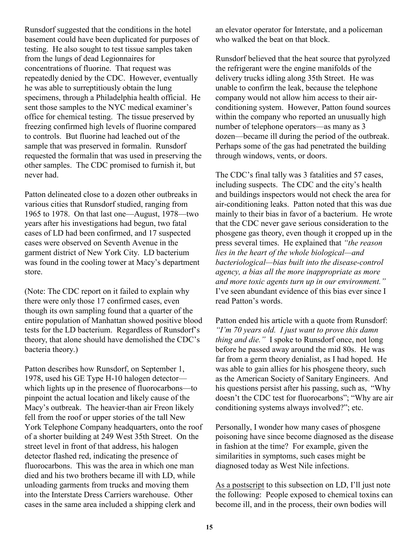Runsdorf suggested that the conditions in the hotel basement could have been duplicated for purposes of testing. He also sought to test tissue samples taken from the lungs of dead Legionnaires for concentrations of fluorine. That request was repeatedly denied by the CDC. However, eventually he was able to surreptitiously obtain the lung specimens, through a Philadelphia health official. He sent those samples to the NYC medical examiner's office for chemical testing. The tissue preserved by freezing confirmed high levels of fluorine compared to controls. But fluorine had leached out of the sample that was preserved in formalin. Runsdorf requested the formalin that was used in preserving the other samples. The CDC promised to furnish it, but never had.

Patton delineated close to a dozen other outbreaks in various cities that Runsdorf studied, ranging from 1965 to 1978. On that last one—August, 1978—two years after his investigations had begun, two fatal cases of LD had been confirmed, and 17 suspected cases were observed on Seventh Avenue in the garment district of New York City. LD bacterium was found in the cooling tower at Macy's department store.

(Note: The CDC report on it failed to explain why there were only those 17 confirmed cases, even though its own sampling found that a quarter of the entire population of Manhattan showed positive blood tests for the LD bacterium. Regardless of Runsdorf's theory, that alone should have demolished the CDC's bacteria theory.)

Patton describes how Runsdorf, on September 1, 1978, used his GE Type H-10 halogen detector which lights up in the presence of fluorocarbons—to pinpoint the actual location and likely cause of the Macy's outbreak. The heavier-than air Freon likely fell from the roof or upper stories of the tall New York Telephone Company headquarters, onto the roof of a shorter building at 249 West 35th Street. On the street level in front of that address, his halogen detector flashed red, indicating the presence of fluorocarbons. This was the area in which one man died and his two brothers became ill with LD, while unloading garments from trucks and moving them into the Interstate Dress Carriers warehouse. Other cases in the same area included a shipping clerk and

an elevator operator for Interstate, and a policeman who walked the beat on that block.

Runsdorf believed that the heat source that pyrolyzed the refrigerant were the engine manifolds of the delivery trucks idling along 35th Street. He was unable to confirm the leak, because the telephone company would not allow him access to their airconditioning system. However, Patton found sources within the company who reported an unusually high number of telephone operators—as many as 3 dozen—became ill during the period of the outbreak. Perhaps some of the gas had penetrated the building through windows, vents, or doors.

The CDC's final tally was 3 fatalities and 57 cases, including suspects. The CDC and the city's health and buildings inspectors would not check the area for air-conditioning leaks. Patton noted that this was due mainly to their bias in favor of a bacterium. He wrote that the CDC never gave serious consideration to the phosgene gas theory, even though it cropped up in the press several times. He explained that *"the reason lies in the heart of the whole biological—and bacteriological—bias built into the disease-control agency, a bias all the more inappropriate as more and more toxic agents turn up in our environment."* I've seen abundant evidence of this bias ever since I read Patton's words.

Patton ended his article with a quote from Runsdorf: *"I'm 70 years old. I just want to prove this damn thing and die."* I spoke to Runsdorf once, not long before he passed away around the mid 80s. He was far from a germ theory denialist, as I had hoped. He was able to gain allies for his phosgene theory, such as the American Society of Sanitary Engineers. And his questions persist after his passing, such as, "Why doesn't the CDC test for fluorocarbons"; "Why are air conditioning systems always involved?"; etc.

Personally, I wonder how many cases of phosgene poisoning have since become diagnosed as the disease in fashion at the time? For example, given the similarities in symptoms, such cases might be diagnosed today as West Nile infections.

As a postscript to this subsection on LD, I'll just note the following: People exposed to chemical toxins can become ill, and in the process, their own bodies will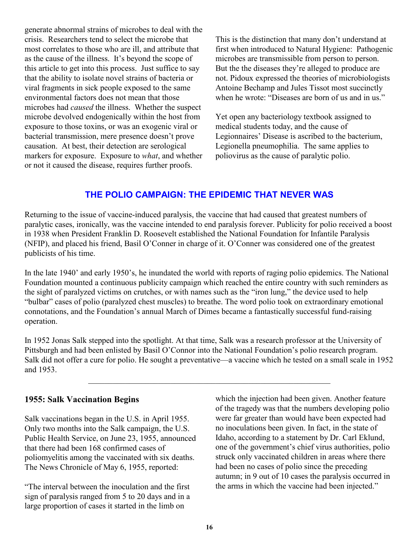generate abnormal strains of microbes to deal with the crisis. Researchers tend to select the microbe that most correlates to those who are ill, and attribute that as the cause of the illness. It's beyond the scope of this article to get into this process. Just suffice to say that the ability to isolate novel strains of bacteria or viral fragments in sick people exposed to the same environmental factors does not mean that those microbes had *caused* the illness. Whether the suspect microbe devolved endogenically within the host from exposure to those toxins, or was an exogenic viral or bacterial transmission, mere presence doesn't prove causation. At best, their detection are serological markers for exposure. Exposure to *what*, and whether or not it caused the disease, requires further proofs.

This is the distinction that many don't understand at first when introduced to Natural Hygiene: Pathogenic microbes are transmissible from person to person. But the the diseases they're alleged to produce are not. Pidoux expressed the theories of microbiologists Antoine Bechamp and Jules Tissot most succinctly when he wrote: "Diseases are born of us and in us."

Yet open any bacteriology textbook assigned to medical students today, and the cause of Legionnaires' Disease is ascribed to the bacterium, Legionella pneumophilia. The same applies to poliovirus as the cause of paralytic polio.

## **THE POLIO CAMPAIGN: THE EPIDEMIC THAT NEVER WAS**

Returning to the issue of vaccine-induced paralysis, the vaccine that had caused that greatest numbers of paralytic cases, ironically, was the vaccine intended to end paralysis forever. Publicity for polio received a boost in 1938 when President Franklin D. Roosevelt established the National Foundation for Infantile Paralysis (NFIP), and placed his friend, Basil O'Conner in charge of it. O'Conner was considered one of the greatest publicists of his time.

In the late 1940' and early 1950's, he inundated the world with reports of raging polio epidemics. The National Foundation mounted a continuous publicity campaign which reached the entire country with such reminders as the sight of paralyzed victims on crutches, or with names such as the "iron lung," the device used to help "bulbar" cases of polio (paralyzed chest muscles) to breathe. The word polio took on extraordinary emotional connotations, and the Foundation's annual March of Dimes became a fantastically successful fund-raising operation.

In 1952 Jonas Salk stepped into the spotlight. At that time, Salk was a research professor at the University of Pittsburgh and had been enlisted by Basil O'Connor into the National Foundation's polio research program. Salk did not offer a cure for polio. He sought a preventative—a vaccine which he tested on a small scale in 1952 and 1953.

 $\mathcal{L}_\text{max}$  and the contract of the contract of the contract of the contract of the contract of the contract of

#### **1955: Salk Vaccination Begins**

Salk vaccinations began in the U.S. in April 1955. Only two months into the Salk campaign, the U.S. Public Health Service, on June 23, 1955, announced that there had been 168 confirmed cases of poliomyelitis among the vaccinated with six deaths. The News Chronicle of May 6, 1955, reported:

"The interval between the inoculation and the first sign of paralysis ranged from 5 to 20 days and in a large proportion of cases it started in the limb on

which the injection had been given. Another feature of the tragedy was that the numbers developing polio were far greater than would have been expected had no inoculations been given. In fact, in the state of Idaho, according to a statement by Dr. Carl Eklund, one of the government's chief virus authorities, polio struck only vaccinated children in areas where there had been no cases of polio since the preceding autumn; in 9 out of 10 cases the paralysis occurred in the arms in which the vaccine had been injected."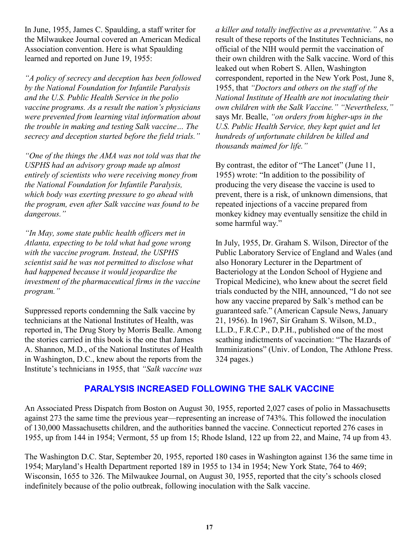In June, 1955, James C. Spaulding, a staff writer for the Milwaukee Journal covered an American Medical Association convention. Here is what Spaulding learned and reported on June 19, 1955:

*"A policy of secrecy and deception has been followed by the National Foundation for Infantile Paralysis and the U.S. Public Health Service in the polio vaccine programs. As a result the nation's physicians were prevented from learning vital information about the trouble in making and testing Salk vaccine… The secrecy and deception started before the field trials."*

*"One of the things the AMA was not told was that the USPHS had an advisory group made up almost entirely of scientists who were receiving money from the National Foundation for Infantile Paralysis, which body was exerting pressure to go ahead with the program, even after Salk vaccine was found to be dangerous."*

*"In May, some state public health officers met in Atlanta, expecting to be told what had gone wrong with the vaccine program. Instead, the USPHS scientist said he was not permitted to disclose what had happened because it would jeopardize the investment of the pharmaceutical firms in the vaccine program."*

Suppressed reports condemning the Salk vaccine by technicians at the National Institutes of Health, was reported in, The Drug Story by Morris Bealle. Among the stories carried in this book is the one that James A. Shannon, M.D., of the National Institutes of Health in Washington, D.C., knew about the reports from the Institute's technicians in 1955, that *"Salk vaccine was* *a killer and totally ineffective as a preventative."* As a result of these reports of the Institutes Technicians, no official of the NIH would permit the vaccination of their own children with the Salk vaccine. Word of this leaked out when Robert S. Allen, Washington correspondent, reported in the New York Post, June 8, 1955, that *"Doctors and others on the staff of the National Institute of Health are not inoculating their own children with the Salk Vaccine." "Nevertheless,"* says Mr. Bealle, *"on orders from higher-ups in the U.S. Public Health Service, they kept quiet and let hundreds of unfortunate children be killed and thousands maimed for life."*

By contrast, the editor of "The Lancet" (June 11, 1955) wrote: "In addition to the possibility of producing the very disease the vaccine is used to prevent, there is a risk, of unknown dimensions, that repeated injections of a vaccine prepared from monkey kidney may eventually sensitize the child in some harmful way."

In July, 1955, Dr. Graham S. Wilson, Director of the Public Laboratory Service of England and Wales (and also Honorary Lecturer in the Department of Bacteriology at the London School of Hygiene and Tropical Medicine), who knew about the secret field trials conducted by the NIH, announced, "I do not see how any vaccine prepared by Salk's method can be guaranteed safe." (American Capsule News, January 21, 1956). In 1967, Sir Graham S. Wilson, M.D., LL.D., F.R.C.P., D.P.H., published one of the most scathing indictments of vaccination: "The Hazards of Imminizations" (Univ. of London, The Athlone Press. 324 pages.)

#### **PARALYSIS INCREASED FOLLOWING THE SALK VACCINE**

An Associated Press Dispatch from Boston on August 30, 1955, reported 2,027 cases of polio in Massachusetts against 273 the same time the previous year—representing an increase of 743%. This followed the inoculation of 130,000 Massachusetts children, and the authorities banned the vaccine. Connecticut reported 276 cases in 1955, up from 144 in 1954; Vermont, 55 up from 15; Rhode Island, 122 up from 22, and Maine, 74 up from 43.

The Washington D.C. Star, September 20, 1955, reported 180 cases in Washington against 136 the same time in 1954; Maryland's Health Department reported 189 in 1955 to 134 in 1954; New York State, 764 to 469; Wisconsin, 1655 to 326. The Milwaukee Journal, on August 30, 1955, reported that the city's schools closed indefinitely because of the polio outbreak, following inoculation with the Salk vaccine.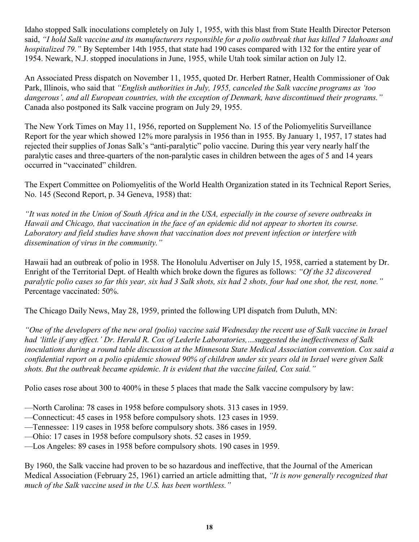Idaho stopped Salk inoculations completely on July 1, 1955, with this blast from State Health Director Peterson said, *"I hold Salk vaccine and its manufacturers responsible for a polio outbreak that has killed 7 Idahoans and hospitalized 79."* By September 14th 1955, that state had 190 cases compared with 132 for the entire year of 1954. Newark, N.J. stopped inoculations in June, 1955, while Utah took similar action on July 12.

An Associated Press dispatch on November 11, 1955, quoted Dr. Herbert Ratner, Health Commissioner of Oak Park, Illinois, who said that *"English authorities in July, 1955, canceled the Salk vaccine programs as 'too dangerous', and all European countries, with the exception of Denmark, have discontinued their programs."* Canada also postponed its Salk vaccine program on July 29, 1955.

The New York Times on May 11, 1956, reported on Supplement No. 15 of the Poliomyelitis Surveillance Report for the year which showed 12% more paralysis in 1956 than in 1955. By January 1, 1957, 17 states had rejected their supplies of Jonas Salk's "anti-paralytic" polio vaccine. During this year very nearly half the paralytic cases and three-quarters of the non-paralytic cases in children between the ages of 5 and 14 years occurred in "vaccinated" children.

The Expert Committee on Poliomyelitis of the World Health Organization stated in its Technical Report Series, No. 145 (Second Report, p. 34 Geneva, 1958) that:

*"It was noted in the Union of South Africa and in the USA, especially in the course of severe outbreaks in Hawaii and Chicago, that vaccination in the face of an epidemic did not appear to shorten its course. Laboratory and field studies have shown that vaccination does not prevent infection or interfere with dissemination of virus in the community."*

Hawaii had an outbreak of polio in 1958. The Honolulu Advertiser on July 15, 1958, carried a statement by Dr. Enright of the Territorial Dept. of Health which broke down the figures as follows: *"Of the 32 discovered paralytic polio cases so far this year, six had 3 Salk shots, six had 2 shots, four had one shot, the rest, none."* Percentage vaccinated: 50%.

The Chicago Daily News, May 28, 1959, printed the following UPI dispatch from Duluth, MN:

*"One of the developers of the new oral (polio) vaccine said Wednesday the recent use of Salk vaccine in Israel had 'little if any effect.' Dr. Herald R. Cox of Lederle Laboratories,…suggested the ineffectiveness of Salk inoculations during a round table discussion at the Minnesota State Medical Association convention. Cox said a confidential report on a polio epidemic showed 90% of children under six years old in Israel were given Salk shots. But the outbreak became epidemic. It is evident that the vaccine failed, Cox said."*

Polio cases rose about 300 to 400% in these 5 places that made the Salk vaccine compulsory by law:

—North Carolina: 78 cases in 1958 before compulsory shots. 313 cases in 1959.

- —Connecticut: 45 cases in 1958 before compulsory shots. 123 cases in 1959.
- —Tennessee: 119 cases in 1958 before compulsory shots. 386 cases in 1959.
- —Ohio: 17 cases in 1958 before compulsory shots. 52 cases in 1959.

—Los Angeles: 89 cases in 1958 before compulsory shots. 190 cases in 1959.

By 1960, the Salk vaccine had proven to be so hazardous and ineffective, that the Journal of the American Medical Association (February 25, 1961) carried an article admitting that, *"It is now generally recognized that much of the Salk vaccine used in the U.S. has been worthless."*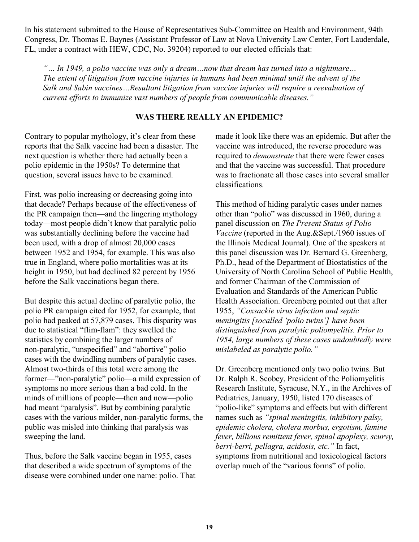In his statement submitted to the House of Representatives Sub-Committee on Health and Environment, 94th Congress, Dr. Thomas E. Baynes (Assistant Professor of Law at Nova University Law Center, Fort Lauderdale, FL, under a contract with HEW, CDC, No. 39204) reported to our elected officials that:

*"… In 1949, a polio vaccine was only a dream…now that dream has turned into a nightmare… The extent of litigation from vaccine injuries in humans had been minimal until the advent of the Salk and Sabin vaccines…Resultant litigation from vaccine injuries will require a reevaluation of current efforts to immunize vast numbers of people from communicable diseases."*

#### **WAS THERE REALLY AN EPIDEMIC?**

Contrary to popular mythology, it's clear from these reports that the Salk vaccine had been a disaster. The next question is whether there had actually been a polio epidemic in the 1950s? To determine that question, several issues have to be examined.

First, was polio increasing or decreasing going into that decade? Perhaps because of the effectiveness of the PR campaign then—and the lingering mythology today—most people didn't know that paralytic polio was substantially declining before the vaccine had been used, with a drop of almost 20,000 cases between 1952 and 1954, for example. This was also true in England, where polio mortalities was at its height in 1950, but had declined 82 percent by 1956 before the Salk vaccinations began there.

But despite this actual decline of paralytic polio, the polio PR campaign cited for 1952, for example, that polio had peaked at 57,879 cases. This disparity was due to statistical "flim-flam": they swelled the statistics by combining the larger numbers of non-paralytic, "unspecified" and "abortive" polio cases with the dwindling numbers of paralytic cases. Almost two-thirds of this total were among the former—"non-paralytic" polio—a mild expression of symptoms no more serious than a bad cold. In the minds of millions of people—then and now—polio had meant "paralysis". But by combining paralytic cases with the various milder, non-paralytic forms, the public was misled into thinking that paralysis was sweeping the land.

Thus, before the Salk vaccine began in 1955, cases that described a wide spectrum of symptoms of the disease were combined under one name: polio. That made it look like there was an epidemic. But after the vaccine was introduced, the reverse procedure was required to *demonstrate* that there were fewer cases and that the vaccine was successful. That procedure was to fractionate all those cases into several smaller classifications.

This method of hiding paralytic cases under names other than "polio" was discussed in 1960, during a panel discussion on *The Present Status of Polio Vaccine* (reported in the Aug.&Sept./1960 issues of the Illinois Medical Journal). One of the speakers at this panel discussion was Dr. Bernard G. Greenberg, Ph.D., head of the Department of Biostatistics of the University of North Carolina School of Public Health, and former Chairman of the Commission of Evaluation and Standards of the American Public Health Association. Greenberg pointed out that after 1955, *"Coxsackie virus infection and septic meningitis [socalled 'polio twins'] have been distinguished from paralytic poliomyelitis. Prior to 1954, large numbers of these cases undoubtedly were mislabeled as paralytic polio."*

Dr. Greenberg mentioned only two polio twins. But Dr. Ralph R. Scobey, President of the Poliomyelitis Research Institute, Syracuse, N.Y., in the Archives of Pediatrics, January, 1950, listed 170 diseases of "polio-like" symptoms and effects but with different names such as *"spinal meningitis, inhibitory palsy, epidemic cholera, cholera morbus, ergotism, famine fever, billious remittent fever, spinal apoplexy, scurvy, berri-berri, pellagra, acidosis, etc."* In fact, symptoms from nutritional and toxicological factors overlap much of the "various forms" of polio.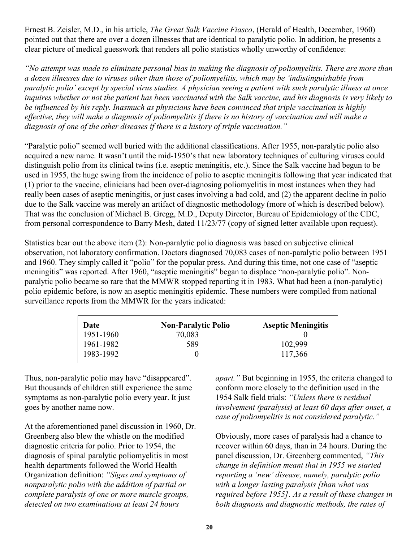Ernest B. Zeisler, M.D., in his article, *The Great Salk Vaccine Fiasco*, (Herald of Health, December, 1960) pointed out that there are over a dozen illnesses that are identical to paralytic polio. In addition, he presents a clear picture of medical guesswork that renders all polio statistics wholly unworthy of confidence:

*"No attempt was made to eliminate personal bias in making the diagnosis of poliomyelitis. There are more than a dozen illnesses due to viruses other than those of poliomyelitis, which may be 'indistinguishable from paralytic polio' except by special virus studies. A physician seeing a patient with such paralytic illness at once inquires whether or not the patient has been vaccinated with the Salk vaccine, and his diagnosis is very likely to be influenced by his reply. Inasmuch as physicians have been convinced that triple vaccination is highly effective, they will make a diagnosis of poliomyelitis if there is no history of vaccination and will make a diagnosis of one of the other diseases if there is a history of triple vaccination."*

"Paralytic polio" seemed well buried with the additional classifications. After 1955, non-paralytic polio also acquired a new name. It wasn't until the mid-1950's that new laboratory techniques of culturing viruses could distinguish polio from its clinical twins (i.e. aseptic meningitis, etc.). Since the Salk vaccine had begun to be used in 1955, the huge swing from the incidence of polio to aseptic meningitis following that year indicated that (1) prior to the vaccine, clinicians had been over-diagnosing poliomyelitis in most instances when they had really been cases of aseptic meningitis, or just cases involving a bad cold, and (2) the apparent decline in polio due to the Salk vaccine was merely an artifact of diagnostic methodology (more of which is described below). That was the conclusion of Michael B. Gregg, M.D., Deputy Director, Bureau of Epidemiology of the CDC, from personal correspondence to Barry Mesh, dated 11/23/77 (copy of signed letter available upon request).

Statistics bear out the above item (2): Non-paralytic polio diagnosis was based on subjective clinical observation, not laboratory confirmation. Doctors diagnosed 70,083 cases of non-paralytic polio between 1951 and 1960. They simply called it "polio" for the popular press. And during this time, not one case of "aseptic meningitis" was reported. After 1960, "aseptic meningitis" began to displace "non-paralytic polio". Nonparalytic polio became so rare that the MMWR stopped reporting it in 1983. What had been a (non-paralytic) polio epidemic before, is now an aseptic meningitis epidemic. These numbers were compiled from national surveillance reports from the MMWR for the years indicated:

| Date      | <b>Non-Paralytic Polio</b> | <b>Aseptic Meningitis</b> |
|-----------|----------------------------|---------------------------|
| 1951-1960 | 70,083                     |                           |
| 1961-1982 | 589                        | 102,999                   |
| 1983-1992 |                            | 117,366                   |

Thus, non-paralytic polio may have "disappeared". But thousands of children still experience the same symptoms as non-paralytic polio every year. It just goes by another name now.

At the aforementioned panel discussion in 1960, Dr. Greenberg also blew the whistle on the modified diagnostic criteria for polio. Prior to 1954, the diagnosis of spinal paralytic poliomyelitis in most health departments followed the World Health Organization definition: *"Signs and symptoms of nonparalytic polio with the addition of partial or complete paralysis of one or more muscle groups, detected on two examinations at least 24 hours*

*apart."* But beginning in 1955, the criteria changed to conform more closely to the definition used in the 1954 Salk field trials: *"Unless there is residual involvement (paralysis) at least 60 days after onset, a case of poliomyelitis is not considered paralytic."*

Obviously, more cases of paralysis had a chance to recover within 60 days, than in 24 hours. During the panel discussion, Dr. Greenberg commented, *"This change in definition meant that in 1955 we started reporting a 'new' disease, namely, paralytic polio with a longer lasting paralysis [than what was required before 1955]. As a result of these changes in both diagnosis and diagnostic methods, the rates of*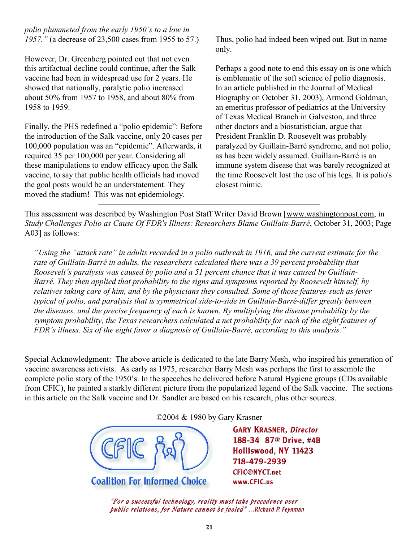*polio plummeted from the early 1950's to a low in 1957."* (a decrease of 23,500 cases from 1955 to 57.)

However, Dr. Greenberg pointed out that not even this artifactual decline could continue, after the Salk vaccine had been in widespread use for 2 years. He showed that nationally, paralytic polio increased about 50% from 1957 to 1958, and about 80% from 1958 to 1959.

Finally, the PHS redefined a "polio epidemic": Before the introduction of the Salk vaccine, only 20 cases per 100,000 population was an "epidemic". Afterwards, it required 35 per 100,000 per year. Considering all these manipulations to endow efficacy upon the Salk vaccine, to say that public health officials had moved the goal posts would be an understatement. They moved the stadium! This was not epidemiology.

Thus, polio had indeed been wiped out. But in name only.

Perhaps a good note to end this essay on is one which is emblematic of the soft science of polio diagnosis. In an article published in the Journal of Medical Biography on October 31, 2003), Armond Goldman, an emeritus professor of pediatrics at the University of Texas Medical Branch in Galveston, and three other doctors and a biostatistician, argue that President Franklin D. Roosevelt was probably paralyzed by Guillain-Barré syndrome, and not polio, as has been widely assumed. Guillain-Barré is an immune system disease that was barely recognized at the time Roosevelt lost the use of his legs. It is polio's closest mimic.

This assessment was described by Washington Post Staff Writer David Brown [[www.washingtonpost.com,](http://www.washingtonpost.com) in *Study Challenges Polio as Cause Of FDR's Illness: Researchers Blame Guillain-Barré*, October 31, 2003; Page A03] as follows:

 $\overline{\phantom{a}}$  , and the contract of  $\overline{\phantom{a}}$  , and  $\overline{\phantom{a}}$  , and  $\overline{\phantom{a}}$ 

*"Using the "attack rate" in adults recorded in a polio outbreak in 1916, and the current estimate for the rate of Guillain-Barré in adults, the researchers calculated there was a 39 percent probability that Roosevelt's paralysis was caused by polio and a 51 percent chance that it was caused by Guillain-Barré. They then applied that probability to the signs and symptoms reported by Roosevelt himself, by relatives taking care of him, and by the physicians they consulted. Some of those features-such as fever typical of polio, and paralysis that is symmetrical side-to-side in Guillain-Barré-differ greatly between the diseases, and the precise frequency of each is known. By multiplying the disease probability by the symptom probability, the Texas researchers calculated a net probability for each of the eight features of FDR's illness. Six of the eight favor a diagnosis of Guillain-Barré, according to this analysis."*

Special Acknowledgment: The above article is dedicated to the late Barry Mesh, who inspired his generation of vaccine awareness activists. As early as 1975, researcher Barry Mesh was perhaps the first to assemble the complete polio story of the 1950's. In the speeches he delivered before Natural Hygiene groups (CDs available from CFIC), he painted a starkly different picture from the popularized legend of the Salk vaccine. The sections in this article on the Salk vaccine and Dr. Sandler are based on his research, plus other sources.

———————————————————————

©2004 & 1980 by Gary Krasner

**Coalition For Informed Choice** 

**GARY KRASNER, Director** 188-34 87th Drive, #4B Holliswood, NY 11423 718-479-2939 **CFIC@NYCT.net** www.CFIC.us

"For a successful technology, reality must take precedence over public relations, for Nature cannot be fooled"...Richard P. Feynman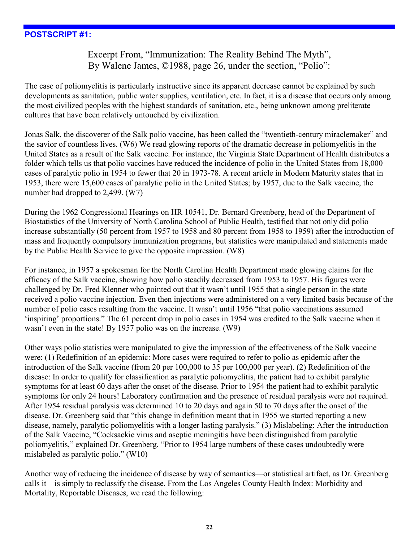#### **POSTSCRIPT #1:**

## Excerpt From, "Immunization: The Reality Behind The Myth", By Walene James, ©1988, page 26, under the section, "Polio":

The case of poliomyelitis is particularly instructive since its apparent decrease cannot be explained by such developments as sanitation, public water supplies, ventilation, etc. In fact, it is a disease that occurs only among the most civilized peoples with the highest standards of sanitation, etc., being unknown among preliterate cultures that have been relatively untouched by civilization.

Jonas Salk, the discoverer of the Salk polio vaccine, has been called the "twentieth-century miraclemaker" and the savior of countless lives. (W6) We read glowing reports of the dramatic decrease in poliomyelitis in the United States as a result of the Salk vaccine. For instance, the Virginia State Department of Health distributes a folder which tells us that polio vaccines have reduced the incidence of polio in the United States from 18,000 cases of paralytic polio in 1954 to fewer that 20 in 1973-78. A recent article in Modern Maturity states that in 1953, there were 15,600 cases of paralytic polio in the United States; by 1957, due to the Salk vaccine, the number had dropped to 2,499. (W7)

During the 1962 Congressional Hearings on HR 10541, Dr. Bernard Greenberg, head of the Department of Biostatistics of the University of North Carolina School of Public Health, testified that not only did polio increase substantially (50 percent from 1957 to 1958 and 80 percent from 1958 to 1959) after the introduction of mass and frequently compulsory immunization programs, but statistics were manipulated and statements made by the Public Health Service to give the opposite impression. (W8)

For instance, in 1957 a spokesman for the North Carolina Health Department made glowing claims for the efficacy of the Salk vaccine, showing how polio steadily decreased from 1953 to 1957. His figures were challenged by Dr. Fred Klenner who pointed out that it wasn't until 1955 that a single person in the state received a polio vaccine injection. Even then injections were administered on a very limited basis because of the number of polio cases resulting from the vaccine. It wasn't until 1956 "that polio vaccinations assumed 'inspiring' proportions." The 61 percent drop in polio cases in 1954 was credited to the Salk vaccine when it wasn't even in the state! By 1957 polio was on the increase. (W9)

Other ways polio statistics were manipulated to give the impression of the effectiveness of the Salk vaccine were: (1) Redefinition of an epidemic: More cases were required to refer to polio as epidemic after the introduction of the Salk vaccine (from 20 per 100,000 to 35 per 100,000 per year). (2) Redefinition of the disease: In order to qualify for classification as paralytic poliomyelitis, the patient had to exhibit paralytic symptoms for at least 60 days after the onset of the disease. Prior to 1954 the patient had to exhibit paralytic symptoms for only 24 hours! Laboratory confirmation and the presence of residual paralysis were not required. After 1954 residual paralysis was determined 10 to 20 days and again 50 to 70 days after the onset of the disease. Dr. Greenberg said that "this change in definition meant that in 1955 we started reporting a new disease, namely, paralytic poliomyelitis with a longer lasting paralysis." (3) Mislabeling: After the introduction of the Salk Vaccine, "Cocksackie virus and aseptic meningitis have been distinguished from paralytic poliomyelitis," explained Dr. Greenberg. "Prior to 1954 large numbers of these cases undoubtedly were mislabeled as paralytic polio." (W10)

Another way of reducing the incidence of disease by way of semantics—or statistical artifact, as Dr. Greenberg calls it—is simply to reclassify the disease. From the Los Angeles County Health Index: Morbidity and Mortality, Reportable Diseases, we read the following: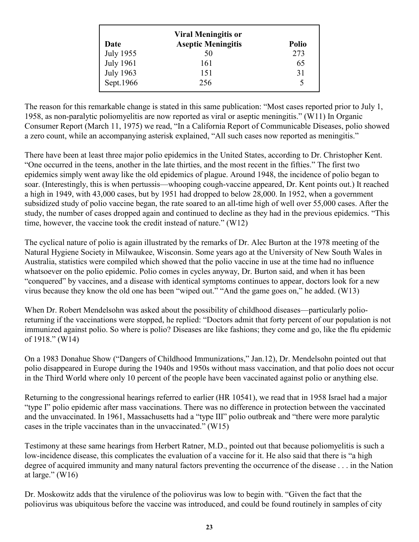| <b>Viral Meningitis or</b> |                           |              |  |
|----------------------------|---------------------------|--------------|--|
| Date                       | <b>Aseptic Meningitis</b> | <b>Polio</b> |  |
| July 1955                  | 50                        | 273          |  |
| <b>July 1961</b>           | 161                       | 65           |  |
| <b>July 1963</b>           | 151                       | 31           |  |
| Sept.1966                  | 256                       | $\varsigma$  |  |

The reason for this remarkable change is stated in this same publication: "Most cases reported prior to July 1, 1958, as non-paralytic poliomyelitis are now reported as viral or aseptic meningitis." (W11) In Organic Consumer Report (March 11, 1975) we read, "In a California Report of Communicable Diseases, polio showed a zero count, while an accompanying asterisk explained, "All such cases now reported as meningitis."

There have been at least three major polio epidemics in the United States, according to Dr. Christopher Kent. "One occurred in the teens, another in the late thirties, and the most recent in the fifties." The first two epidemics simply went away like the old epidemics of plague. Around 1948, the incidence of polio began to soar. (Interestingly, this is when pertussis—whooping cough-vaccine appeared, Dr. Kent points out.) It reached a high in 1949, with 43,000 cases, but by 1951 had dropped to below 28,000. In 1952, when a government subsidized study of polio vaccine began, the rate soared to an all-time high of well over 55,000 cases. After the study, the number of cases dropped again and continued to decline as they had in the previous epidemics. "This time, however, the vaccine took the credit instead of nature." (W12)

The cyclical nature of polio is again illustrated by the remarks of Dr. Alec Burton at the 1978 meeting of the Natural Hygiene Society in Milwaukee, Wisconsin. Some years ago at the University of New South Wales in Australia, statistics were compiled which showed that the polio vaccine in use at the time had no influence whatsoever on the polio epidemic. Polio comes in cycles anyway, Dr. Burton said, and when it has been "conquered" by vaccines, and a disease with identical symptoms continues to appear, doctors look for a new virus because they know the old one has been "wiped out." "And the game goes on," he added. (W13)

When Dr. Robert Mendelsohn was asked about the possibility of childhood diseases—particularly polioreturning if the vaccinations were stopped, he replied: "Doctors admit that forty percent of our population is not immunized against polio. So where is polio? Diseases are like fashions; they come and go, like the flu epidemic of 1918." (W14)

On a 1983 Donahue Show ("Dangers of Childhood Immunizations," Jan.12), Dr. Mendelsohn pointed out that polio disappeared in Europe during the 1940s and 1950s without mass vaccination, and that polio does not occur in the Third World where only 10 percent of the people have been vaccinated against polio or anything else.

Returning to the congressional hearings referred to earlier (HR 10541), we read that in 1958 Israel had a major "type I" polio epidemic after mass vaccinations. There was no difference in protection between the vaccinated and the unvaccinated. In 1961, Massachusetts had a "type III" polio outbreak and "there were more paralytic cases in the triple vaccinates than in the unvaccinated." (W15)

Testimony at these same hearings from Herbert Ratner, M.D., pointed out that because poliomyelitis is such a low-incidence disease, this complicates the evaluation of a vaccine for it. He also said that there is "a high degree of acquired immunity and many natural factors preventing the occurrence of the disease . . . in the Nation at large."  $(W16)$ 

Dr. Moskowitz adds that the virulence of the poliovirus was low to begin with. "Given the fact that the poliovirus was ubiquitous before the vaccine was introduced, and could be found routinely in samples of city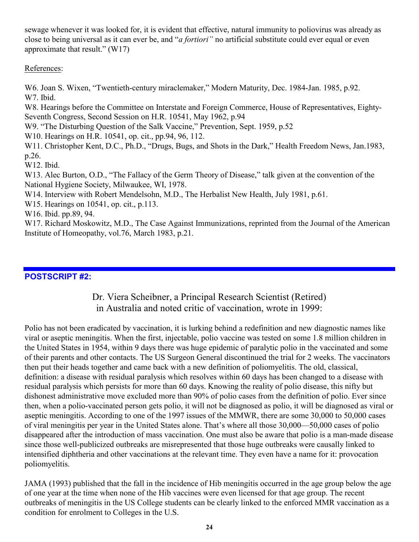sewage whenever it was looked for, it is evident that effective, natural immunity to poliovirus was already as close to being universal as it can ever be, and "*a fortiori"* no artificial substitute could ever equal or even approximate that result." (W17)

#### References:

W6. Joan S. Wixen, "Twentieth-century miraclemaker," Modern Maturity, Dec. 1984-Jan. 1985, p.92. W7. Ibid.

W8. Hearings before the Committee on Interstate and Foreign Commerce, House of Representatives, Eighty-Seventh Congress, Second Session on H.R. 10541, May 1962, p.94

W9. "The Disturbing Question of the Salk Vaccine," Prevention, Sept. 1959, p.52

W10. Hearings on H.R. 10541, op. cit., pp.94, 96, 112.

W11. Christopher Kent, D.C., Ph.D., "Drugs, Bugs, and Shots in the Dark," Health Freedom News, Jan.1983, p.26.

W12. Ibid.

W13. Alec Burton, O.D., "The Fallacy of the Germ Theory of Disease," talk given at the convention of the National Hygiene Society, Milwaukee, WI, 1978.

W14. Interview with Robert Mendelsohn, M.D., The Herbalist New Health, July 1981, p.61.

W15. Hearings on 10541, op. cit., p.113.

W16. Ibid. pp.89, 94.

W17. Richard Moskowitz, M.D., The Case Against Immunizations, reprinted from the Journal of the American Institute of Homeopathy, vol.76, March 1983, p.21.

## **POSTSCRIPT #2:**

## Dr. Viera Scheibner, a Principal Research Scientist (Retired) in Australia and noted critic of vaccination, wrote in 1999:

Polio has not been eradicated by vaccination, it is lurking behind a redefinition and new diagnostic names like viral or aseptic meningitis. When the first, injectable, polio vaccine was tested on some 1.8 million children in the United States in 1954, within 9 days there was huge epidemic of paralytic polio in the vaccinated and some of their parents and other contacts. The US Surgeon General discontinued the trial for 2 weeks. The vaccinators then put their heads together and came back with a new definition of poliomyelitis. The old, classical, definition: a disease with residual paralysis which resolves within 60 days has been changed to a disease with residual paralysis which persists for more than 60 days. Knowing the reality of polio disease, this nifty but dishonest administrative move excluded more than 90% of polio cases from the definition of polio. Ever since then, when a polio-vaccinated person gets polio, it will not be diagnosed as polio, it will be diagnosed as viral or aseptic meningitis. According to one of the 1997 issues of the MMWR, there are some 30,000 to 50,000 cases of viral meningitis per year in the United States alone. That's where all those 30,000—50,000 cases of polio disappeared after the introduction of mass vaccination. One must also be aware that polio is a man-made disease since those well-publicized outbreaks are misrepresented that those huge outbreaks were causally linked to intensified diphtheria and other vaccinations at the relevant time. They even have a name for it: provocation poliomyelitis.

JAMA (1993) published that the fall in the incidence of Hib meningitis occurred in the age group below the age of one year at the time when none of the Hib vaccines were even licensed for that age group. The recent outbreaks of meningitis in the US College students can be clearly linked to the enforced MMR vaccination as a condition for enrolment to Colleges in the U.S.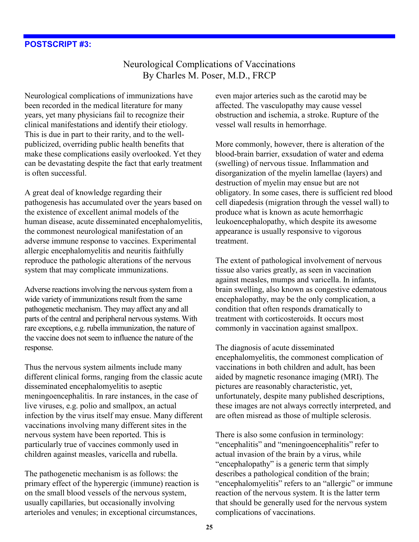## Neurological Complications of Vaccinations By Charles M. Poser, M.D., FRCP

Neurological complications of immunizations have been recorded in the medical literature for many years, yet many physicians fail to recognize their clinical manifestations and identify their etiology. This is due in part to their rarity, and to the wellpublicized, overriding public health benefits that make these complications easily overlooked. Yet they can be devastating despite the fact that early treatment is often successful.

A great deal of knowledge regarding their pathogenesis has accumulated over the years based on the existence of excellent animal models of the human disease, acute disseminated encephalomyelitis, the commonest neurological manifestation of an adverse immune response to vaccines. Experimental allergic encephalomyelitis and neuritis faithfully reproduce the pathologic alterations of the nervous system that may complicate immunizations.

Adverse reactions involving the nervous system from a wide variety of immunizations result from the same pathogenetic mechanism. They may affect any and all parts of the central and peripheral nervous systems. With rare exceptions, e.g. rubella immunization, the nature of the vaccine does not seem to influence the nature of the response.

Thus the nervous system ailments include many different clinical forms, ranging from the classic acute disseminated encephalomyelitis to aseptic meningoencephalitis. In rare instances, in the case of live viruses, e.g. polio and smallpox, an actual infection by the virus itself may ensue. Many different vaccinations involving many different sites in the nervous system have been reported. This is particularly true of vaccines commonly used in children against measles, varicella and rubella.

The pathogenetic mechanism is as follows: the primary effect of the hyperergic (immune) reaction is on the small blood vessels of the nervous system, usually capillaries, but occasionally involving arterioles and venules; in exceptional circumstances,

even major arteries such as the carotid may be affected. The vasculopathy may cause vessel obstruction and ischemia, a stroke. Rupture of the vessel wall results in hemorrhage.

More commonly, however, there is alteration of the blood-brain barrier, exsudation of water and edema (swelling) of nervous tissue. Inflammation and disorganization of the myelin lamellae (layers) and destruction of myelin may ensue but are not obligatory. In some cases, there is sufficient red blood cell diapedesis (migration through the vessel wall) to produce what is known as acute hemorrhagic leukoencephalopathy, which despite its awesome appearance is usually responsive to vigorous treatment.

The extent of pathological involvement of nervous tissue also varies greatly, as seen in vaccination against measles, mumps and varicella. In infants, brain swelling, also known as congestive edematous encephalopathy, may be the only complication, a condition that often responds dramatically to treatment with corticosteroids. It occurs most commonly in vaccination against smallpox.

The diagnosis of acute disseminated encephalomyelitis, the commonest complication of vaccinations in both children and adult, has been aided by magnetic resonance imaging (MRI). The pictures are reasonably characteristic, yet, unfortunately, despite many published descriptions, these images are not always correctly interpreted, and are often misread as those of multiple sclerosis.

There is also some confusion in terminology: "encephalitis" and "meningoencephalitis" refer to actual invasion of the brain by a virus, while "encephalopathy" is a generic term that simply describes a pathological condition of the brain; "encephalomyelitis" refers to an "allergic" or immune reaction of the nervous system. It is the latter term that should be generally used for the nervous system complications of vaccinations.